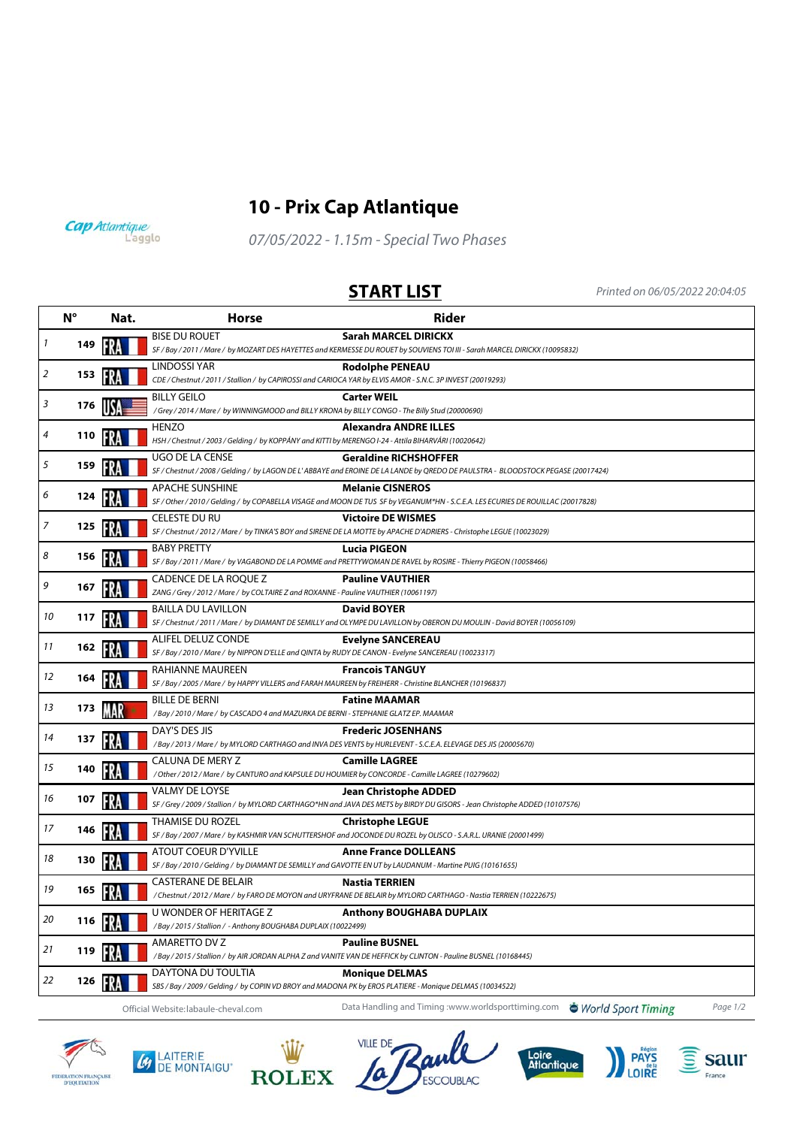

## **10 - Prix Cap Atlantique**

Cap Atlantique

07/05/2022 - 1.15m - Special Two Phases

**START LIST** Printed on 06/05/2022 20:04:05

|                     | $N^{\circ}$ | Nat. | <b>Horse</b>                                                                                                                      | <b>Rider</b>                                                                                                                                                     |
|---------------------|-------------|------|-----------------------------------------------------------------------------------------------------------------------------------|------------------------------------------------------------------------------------------------------------------------------------------------------------------|
| $\boldsymbol{\eta}$ | 149         |      | <b>BISE DU ROUET</b>                                                                                                              | Sarah MARCEL DIRICKX<br>SF / Bay / 2011 / Mare / by MOZART DES HAYETTES and KERMESSE DU ROUET by SOUVIENS TOI III - Sarah MARCEL DIRICKX (10095832)              |
| 2                   | 153         |      | LINDOSSI YAR<br>CDE / Chestnut / 2011 / Stallion / by CAPIROSSI and CARIOCA YAR by ELVIS AMOR - S.N.C. 3P INVEST (20019293)       | <b>Rodolphe PENEAU</b>                                                                                                                                           |
| 3                   | 176         |      | BILLY GEILO<br>/Grey / 2014 / Mare / by WINNINGMOOD and BILLY KRONA by BILLY CONGO - The Billy Stud (20000690)                    | <b>Carter WEIL</b>                                                                                                                                               |
| 4                   | 110         |      | HENZO<br>HSH / Chestnut / 2003 / Gelding / by KOPPÁNY and KITTI by MERENGO I-24 - Attila BIHARVÁRI (10020642)                     | <b>Alexandra ANDRE ILLES</b>                                                                                                                                     |
| 5                   | 159         |      | UGO DE LA CENSE                                                                                                                   | <b>Geraldine RICHSHOFFER</b><br>SF / Chestnut / 2008 / Gelding / by LAGON DE L'ABBAYE and EROINE DE LA LANDE by QREDO DE PAULSTRA - BLOODSTOCK PEGASE (20017424) |
| 6                   | 124         |      | <b>APACHE SUNSHINE</b>                                                                                                            | <b>Melanie CISNEROS</b><br>SF / Other / 2010 / Gelding / by COPABELLA VISAGE and MOON DE TUS SF by VEGANUM*HN - S.C.E.A. LES ECURIES DE ROUILLAC (20017828)      |
| 7                   | 125         |      | CELESTE DU RU                                                                                                                     | <b>Victoire DE WISMES</b><br>SF / Chestnut / 2012 / Mare / by TINKA'S BOY and SIRENE DE LA MOTTE by APACHE D'ADRIERS - Christophe LEGUE (10023029)               |
| 8                   | 156         |      | <b>BABY PRETTY</b>                                                                                                                | <b>Lucia PIGEON</b><br>SF / Bay / 2011 / Mare / by VAGABOND DE LA POMME and PRETTYWOMAN DE RAVEL by ROSIRE - Thierry PIGEON (10058466)                           |
| 9                   | 167         |      | CADENCE DE LA ROQUE Z<br>ZANG / Grey / 2012 / Mare / by COLTAIRE Z and ROXANNE - Pauline VAUTHIER (10061197)                      | <b>Pauline VAUTHIER</b>                                                                                                                                          |
| 10                  | 117         |      | <b>BAILLA DU LAVILLON</b>                                                                                                         | <b>David BOYER</b><br>SF / Chestnut / 2011 / Mare / by DIAMANT DE SEMILLY and OLYMPE DU LAVILLON by OBERON DU MOULIN - David BOYER (10056109)                    |
| 11                  | 162         |      | ALIFEL DELUZ CONDE<br>SF / Bay / 2010 / Mare / by NIPPON D'ELLE and QINTA by RUDY DE CANON - Evelyne SANCEREAU (10023317)         | <b>Evelyne SANCEREAU</b>                                                                                                                                         |
| 12                  | 164         |      | RAHIANNE MAUREEN<br>SF / Bay / 2005 / Mare / by HAPPY VILLERS and FARAH MAUREEN by FREIHERR - Christine BLANCHER (10196837)       | <b>Francois TANGUY</b>                                                                                                                                           |
| 13                  | 173         |      | BILLE DE BERNI<br>/ Bay / 2010 / Mare / by CASCADO 4 and MAZURKA DE BERNI - STEPHANIE GLATZ EP. MAAMAR                            | <b>Fatine MAAMAR</b>                                                                                                                                             |
| 14                  | 137         |      | DAY'S DES JIS                                                                                                                     | <b>Frederic JOSENHANS</b><br>/Bay / 2013 / Mare / by MYLORD CARTHAGO and INVA DES VENTS by HURLEVENT - S.C.E.A. ELEVAGE DES JIS (20005670)                       |
| 15                  | 140         |      | CALUNA DE MERY Z<br>/ Other / 2012 / Mare / by CANTURO and KAPSULE DU HOUMIER by CONCORDE - Camille LAGREE (10279602)             | <b>Camille LAGREE</b>                                                                                                                                            |
| 16                  | 107         |      | VALMY DE LOYSE                                                                                                                    | <b>Jean Christophe ADDED</b><br>SF / Grey / 2009 / Stallion / by MYLORD CARTHAGO*HN and JAVA DES METS by BIRDY DU GISORS - Jean Christophe ADDED (10107576)      |
| 17                  | 146         |      | THAMISE DU ROZEL                                                                                                                  | <b>Christophe LEGUE</b><br>SF / Bay / 2007 / Mare / by KASHMIR VAN SCHUTTERSHOF and JOCONDE DU ROZEL by OLISCO - S.A.R.L. URANIE (20001499)                      |
| 18                  | 130         |      | ATOUT COEUR D'YVILLE<br>SF / Bay / 2010 / Gelding / by DIAMANT DE SEMILLY and GAVOTTE EN UT by LAUDANUM - Martine PUIG (10161655) | <b>Anne France DOLLEANS</b>                                                                                                                                      |
| 19                  | 165         |      | <b>CASTERANE DE BELAIR</b>                                                                                                        | <b>Nastia TERRIEN</b><br>/ Chestnut / 2012 / Mare / by FARO DE MOYON and URYFRANE DE BELAIR by MYLORD CARTHAGO - Nastia TERRIEN (10222675)                       |
| 20                  | 116         |      | U WONDER OF HERITAGE Z<br>/Bay / 2015 / Stallion / - Anthony BOUGHABA DUPLAIX (10022499)                                          | <b>Anthony BOUGHABA DUPLAIX</b>                                                                                                                                  |
| 21                  | 119         |      | AMARETTO DV Z                                                                                                                     | <b>Pauline BUSNEL</b><br>/Bay / 2015 / Stallion / by AIR JORDAN ALPHA Z and VANITE VAN DE HEFFICK by CLINTON - Pauline BUSNEL (10168445)                         |
| 22                  | 126         | FRA  | DAYTONA DU TOULTIA<br>SBS / Bay / 2009 / Gelding / by COPIN VD BROY and MADONA PK by EROS PLATIERE - Monique DELMAS (10034522)    | <b>Monique DELMAS</b>                                                                                                                                            |
|                     |             |      | Official Website: labaule-cheval.com                                                                                              | Data Handling and Timing :www.worldsporttiming.com<br>World Sport Timing<br>Page 1/2                                                                             |



 $\mathcal{L}$